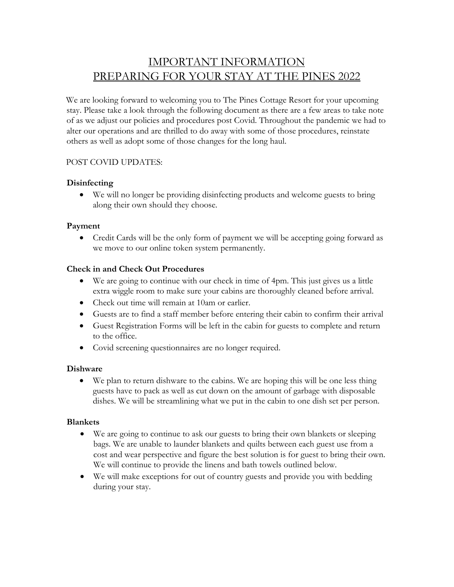## IMPORTANT INFORMATION PREPARING FOR YOUR STAY AT THE PINES 2022

We are looking forward to welcoming you to The Pines Cottage Resort for your upcoming stay. Please take a look through the following document as there are a few areas to take note of as we adjust our policies and procedures post Covid. Throughout the pandemic we had to alter our operations and are thrilled to do away with some of those procedures, reinstate others as well as adopt some of those changes for the long haul.

#### POST COVID UPDATES:

#### **Disinfecting**

• We will no longer be providing disinfecting products and welcome guests to bring along their own should they choose.

#### **Payment**

• Credit Cards will be the only form of payment we will be accepting going forward as we move to our online token system permanently.

#### **Check in and Check Out Procedures**

- We are going to continue with our check in time of 4pm. This just gives us a little extra wiggle room to make sure your cabins are thoroughly cleaned before arrival.
- Check out time will remain at 10am or earlier.
- Guests are to find a staff member before entering their cabin to confirm their arrival
- Guest Registration Forms will be left in the cabin for guests to complete and return to the office.
- Covid screening questionnaires are no longer required.

#### **Dishware**

• We plan to return dishware to the cabins. We are hoping this will be one less thing guests have to pack as well as cut down on the amount of garbage with disposable dishes. We will be streamlining what we put in the cabin to one dish set per person.

#### **Blankets**

- We are going to continue to ask our guests to bring their own blankets or sleeping bags. We are unable to launder blankets and quilts between each guest use from a cost and wear perspective and figure the best solution is for guest to bring their own. We will continue to provide the linens and bath towels outlined below.
- We will make exceptions for out of country guests and provide you with bedding during your stay.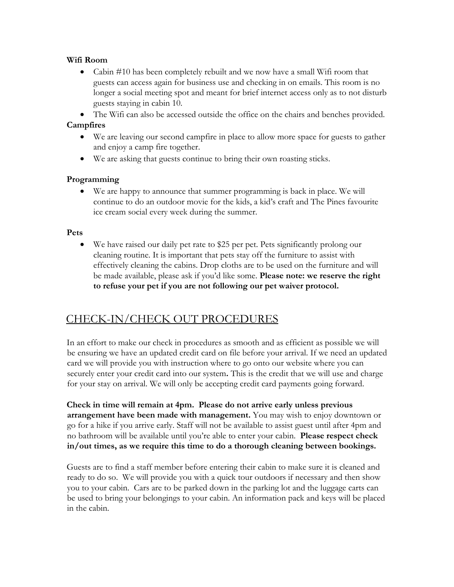#### **Wifi Room**

• Cabin #10 has been completely rebuilt and we now have a small Wifi room that guests can access again for business use and checking in on emails. This room is no longer a social meeting spot and meant for brief internet access only as to not disturb guests staying in cabin 10.

• The Wifi can also be accessed outside the office on the chairs and benches provided.

#### **Campfires**

- We are leaving our second campfire in place to allow more space for guests to gather and enjoy a camp fire together.
- We are asking that guests continue to bring their own roasting sticks.

#### **Programming**

• We are happy to announce that summer programming is back in place. We will continue to do an outdoor movie for the kids, a kid's craft and The Pines favourite ice cream social every week during the summer.

#### **Pets**

• We have raised our daily pet rate to \$25 per pet. Pets significantly prolong our cleaning routine. It is important that pets stay off the furniture to assist with effectively cleaning the cabins. Drop cloths are to be used on the furniture and will be made available, please ask if you'd like some. **Please note: we reserve the right to refuse your pet if you are not following our pet waiver protocol.**

### CHECK-IN/CHECK OUT PROCEDURES

In an effort to make our check in procedures as smooth and as efficient as possible we will be ensuring we have an updated credit card on file before your arrival. If we need an updated card we will provide you with instruction where to go onto our website where you can securely enter your credit card into our system**.** This is the credit that we will use and charge for your stay on arrival. We will only be accepting credit card payments going forward.

**Check in time will remain at 4pm. Please do not arrive early unless previous arrangement have been made with management.** You may wish to enjoy downtown or go for a hike if you arrive early. Staff will not be available to assist guest until after 4pm and no bathroom will be available until you're able to enter your cabin. **Please respect check in/out times, as we require this time to do a thorough cleaning between bookings.**

Guests are to find a staff member before entering their cabin to make sure it is cleaned and ready to do so. We will provide you with a quick tour outdoors if necessary and then show you to your cabin. Cars are to be parked down in the parking lot and the luggage carts can be used to bring your belongings to your cabin. An information pack and keys will be placed in the cabin.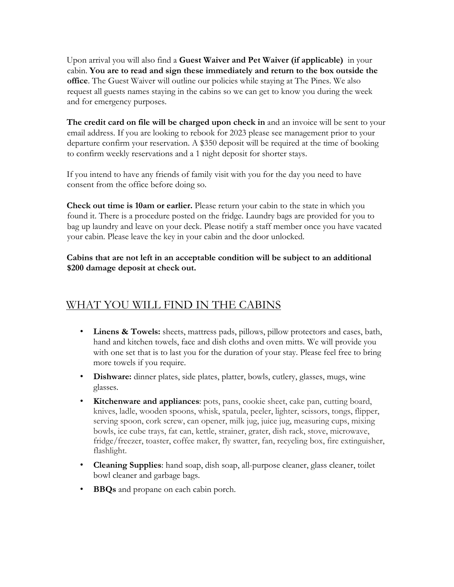Upon arrival you will also find a **Guest Waiver and Pet Waiver (if applicable)** in your cabin. **You are to read and sign these immediately and return to the box outside the office**. The Guest Waiver will outline our policies while staying at The Pines. We also request all guests names staying in the cabins so we can get to know you during the week and for emergency purposes.

**The credit card on file will be charged upon check in** and an invoice will be sent to your email address. If you are looking to rebook for 2023 please see management prior to your departure confirm your reservation. A \$350 deposit will be required at the time of booking to confirm weekly reservations and a 1 night deposit for shorter stays.

If you intend to have any friends of family visit with you for the day you need to have consent from the office before doing so.

**Check out time is 10am or earlier.** Please return your cabin to the state in which you found it. There is a procedure posted on the fridge. Laundry bags are provided for you to bag up laundry and leave on your deck. Please notify a staff member once you have vacated your cabin. Please leave the key in your cabin and the door unlocked.

**Cabins that are not left in an acceptable condition will be subject to an additional \$200 damage deposit at check out.** 

## WHAT YOU WILL FIND IN THE CABINS

- **Linens & Towels:** sheets, mattress pads, pillows, pillow protectors and cases, bath, hand and kitchen towels, face and dish cloths and oven mitts. We will provide you with one set that is to last you for the duration of your stay. Please feel free to bring more towels if you require.
- **Dishware:** dinner plates, side plates, platter, bowls, cutlery, glasses, mugs, wine glasses.
- **Kitchenware and appliances**: pots, pans, cookie sheet, cake pan, cutting board, knives, ladle, wooden spoons, whisk, spatula, peeler, lighter, scissors, tongs, flipper, serving spoon, cork screw, can opener, milk jug, juice jug, measuring cups, mixing bowls, ice cube trays, fat can, kettle, strainer, grater, dish rack, stove, microwave, fridge/freezer, toaster, coffee maker, fly swatter, fan, recycling box, fire extinguisher, flashlight.
- **Cleaning Supplies**: hand soap, dish soap, all-purpose cleaner, glass cleaner, toilet bowl cleaner and garbage bags.
- **BBQs** and propane on each cabin porch.